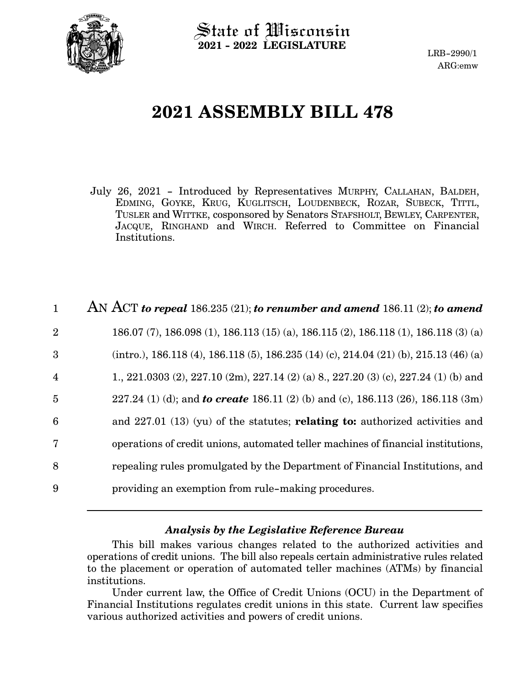

State of Wisconsin **2021 - 2022 LEGISLATURE**

LRB-2990/1 ARG:emw

# **2021 ASSEMBLY BILL 478**

July 26, 2021 - Introduced by Representatives MURPHY, CALLAHAN, BALDEH, EDMING, GOYKE, KRUG, KUGLITSCH, LOUDENBECK, ROZAR, SUBECK, TITTL, TUSLER and WITTKE, cosponsored by Senators STAFSHOLT, BEWLEY, CARPENTER, JACQUE, RINGHAND and WIRCH. Referred to Committee on Financial Institutions.

| $\mathbf{1}$            | AN ACT to repeal 186.235 (21); to renumber and amend 186.11 (2); to amend                |
|-------------------------|------------------------------------------------------------------------------------------|
| $\overline{2}$          | 186.07 (7), 186.098 (1), 186.113 (15) (a), 186.115 (2), 186.118 (1), 186.118 (3) (a)     |
| 3                       | $(intro.), 186.118 (4), 186.118 (5), 186.235 (14) (c), 214.04 (21) (b), 215.13 (46) (a)$ |
| $\overline{\mathbf{4}}$ | 1., 221.0303 (2), 227.10 (2m), 227.14 (2) (a) 8, 227.20 (3) (c), 227.24 (1) (b) and      |
| $\overline{5}$          | 227.24 (1) (d); and <b>to create</b> 186.11 (2) (b) and (c), 186.113 (26), 186.118 (3m)  |
| 6                       | and $227.01$ (13) (yu) of the statutes; <b>relating to:</b> authorized activities and    |
| $\overline{7}$          | operations of credit unions, automated teller machines of financial institutions,        |
| 8                       | repealing rules promulgated by the Department of Financial Institutions, and             |
| 9                       | providing an exemption from rule-making procedures.                                      |

#### *Analysis by the Legislative Reference Bureau*

This bill makes various changes related to the authorized activities and operations of credit unions. The bill also repeals certain administrative rules related to the placement or operation of automated teller machines (ATMs) by financial institutions.

Under current law, the Office of Credit Unions (OCU) in the Department of Financial Institutions regulates credit unions in this state. Current law specifies various authorized activities and powers of credit unions.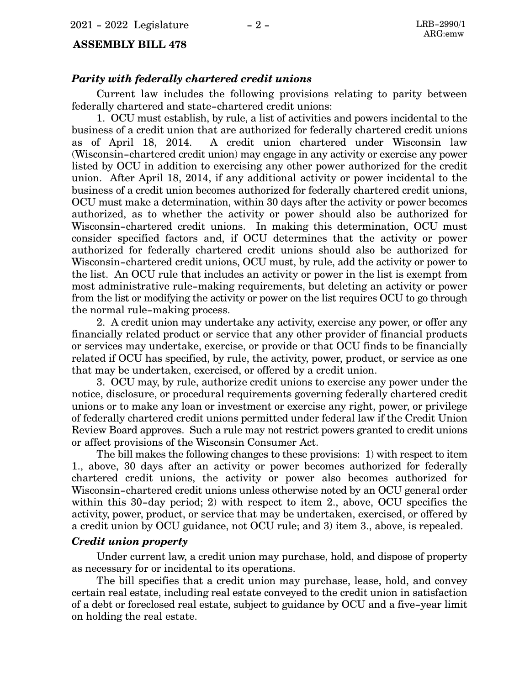#### **ASSEMBLY BILL 478**

#### *Parity with federally chartered credit unions*

Current law includes the following provisions relating to parity between federally chartered and state-chartered credit unions:

1. OCU must establish, by rule, a list of activities and powers incidental to the business of a credit union that are authorized for federally chartered credit unions as of April 18, 2014. A credit union chartered under Wisconsin law (Wisconsin-chartered credit union) may engage in any activity or exercise any power listed by OCU in addition to exercising any other power authorized for the credit union. After April 18, 2014, if any additional activity or power incidental to the business of a credit union becomes authorized for federally chartered credit unions, OCU must make a determination, within 30 days after the activity or power becomes authorized, as to whether the activity or power should also be authorized for Wisconsin-chartered credit unions. In making this determination, OCU must consider specified factors and, if OCU determines that the activity or power authorized for federally chartered credit unions should also be authorized for Wisconsin-chartered credit unions, OCU must, by rule, add the activity or power to the list. An OCU rule that includes an activity or power in the list is exempt from most administrative rule-making requirements, but deleting an activity or power from the list or modifying the activity or power on the list requires OCU to go through the normal rule-making process.

2. A credit union may undertake any activity, exercise any power, or offer any financially related product or service that any other provider of financial products or services may undertake, exercise, or provide or that OCU finds to be financially related if OCU has specified, by rule, the activity, power, product, or service as one that may be undertaken, exercised, or offered by a credit union.

3. OCU may, by rule, authorize credit unions to exercise any power under the notice, disclosure, or procedural requirements governing federally chartered credit unions or to make any loan or investment or exercise any right, power, or privilege of federally chartered credit unions permitted under federal law if the Credit Union Review Board approves. Such a rule may not restrict powers granted to credit unions or affect provisions of the Wisconsin Consumer Act.

The bill makes the following changes to these provisions: 1) with respect to item 1., above, 30 days after an activity or power becomes authorized for federally chartered credit unions, the activity or power also becomes authorized for Wisconsin-chartered credit unions unless otherwise noted by an OCU general order within this 30-day period; 2) with respect to item 2., above, OCU specifies the activity, power, product, or service that may be undertaken, exercised, or offered by a credit union by OCU guidance, not OCU rule; and 3) item 3., above, is repealed.

#### *Credit union property*

Under current law, a credit union may purchase, hold, and dispose of property as necessary for or incidental to its operations.

The bill specifies that a credit union may purchase, lease, hold, and convey certain real estate, including real estate conveyed to the credit union in satisfaction of a debt or foreclosed real estate, subject to guidance by OCU and a five-year limit on holding the real estate.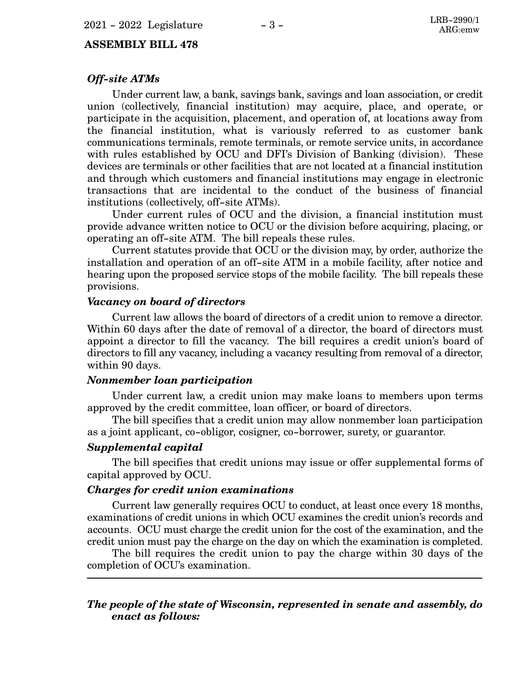#### **ASSEMBLY BILL 478**

#### *Off-site ATMs*

Under current law, a bank, savings bank, savings and loan association, or credit union (collectively, financial institution) may acquire, place, and operate, or participate in the acquisition, placement, and operation of, at locations away from the financial institution, what is variously referred to as customer bank communications terminals, remote terminals, or remote service units, in accordance with rules established by OCU and DFI's Division of Banking (division). These devices are terminals or other facilities that are not located at a financial institution and through which customers and financial institutions may engage in electronic transactions that are incidental to the conduct of the business of financial institutions (collectively, off-site ATMs).

Under current rules of OCU and the division, a financial institution must provide advance written notice to OCU or the division before acquiring, placing, or operating an off-site ATM. The bill repeals these rules.

Current statutes provide that OCU or the division may, by order, authorize the installation and operation of an off-site ATM in a mobile facility, after notice and hearing upon the proposed service stops of the mobile facility. The bill repeals these provisions.

#### *Vacancy on board of directors*

Current law allows the board of directors of a credit union to remove a director. Within 60 days after the date of removal of a director, the board of directors must appoint a director to fill the vacancy. The bill requires a credit union's board of directors to fill any vacancy, including a vacancy resulting from removal of a director, within 90 days.

#### *Nonmember loan participation*

Under current law, a credit union may make loans to members upon terms approved by the credit committee, loan officer, or board of directors.

The bill specifies that a credit union may allow nonmember loan participation as a joint applicant, co-obligor, cosigner, co-borrower, surety, or guarantor.

#### *Supplemental capital*

The bill specifies that credit unions may issue or offer supplemental forms of capital approved by OCU.

#### *Charges for credit union examinations*

Current law generally requires OCU to conduct, at least once every 18 months, examinations of credit unions in which OCU examines the credit union's records and accounts. OCU must charge the credit union for the cost of the examination, and the credit union must pay the charge on the day on which the examination is completed.

The bill requires the credit union to pay the charge within 30 days of the completion of OCU's examination.

#### *The people of the state of Wisconsin, represented in senate and assembly, do enact as follows:*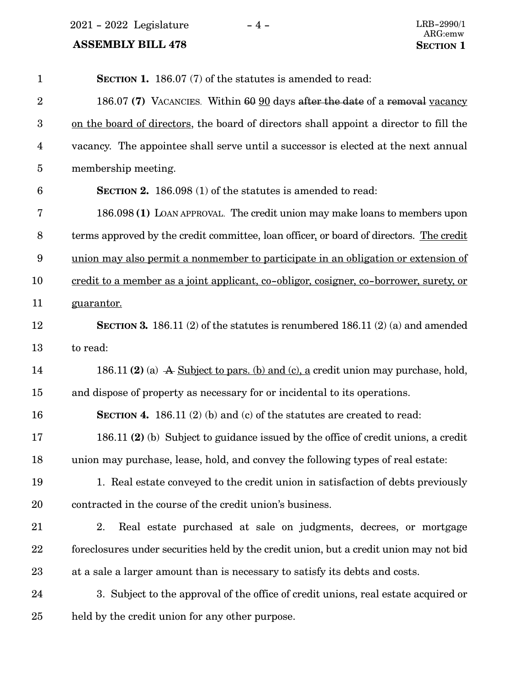$2021 - 2022$  Legislature  $-4 -$  LRB-2990/1

| $\mathbf{1}$            | <b>SECTION 1.</b> 186.07 (7) of the statutes is amended to read:                              |
|-------------------------|-----------------------------------------------------------------------------------------------|
| $\overline{2}$          | 186.07 (7) VACANCIES. Within 60 90 days after the date of a removal vacancy                   |
| 3                       | on the board of directors, the board of directors shall appoint a director to fill the        |
| $\overline{\mathbf{4}}$ | vacancy. The appointee shall serve until a successor is elected at the next annual            |
| $\overline{5}$          | membership meeting.                                                                           |
| $6\phantom{.}6$         | <b>SECTION 2.</b> 186.098 (1) of the statutes is amended to read:                             |
| 7                       | 186.098 (1) LOAN APPROVAL. The credit union may make loans to members upon                    |
| $8\,$                   | terms approved by the credit committee, loan officer, or board of directors. The credit       |
| $9\phantom{.0}$         | union may also permit a nonmember to participate in an obligation or extension of             |
| 10                      | <u>credit to a member as a joint applicant, co-obligor, cosigner, co-borrower, surety, or</u> |
| 11                      | guarantor.                                                                                    |
| 12                      | SECTION 3. 186.11 (2) of the statutes is renumbered 186.11 (2) (a) and amended                |
| 13                      | to read:                                                                                      |
| 14                      | 186.11 (2) (a) A Subject to pars. (b) and (c), a credit union may purchase, hold,             |
| 15                      | and dispose of property as necessary for or incidental to its operations.                     |
| 16                      | <b>SECTION 4.</b> 186.11 (2) (b) and (c) of the statutes are created to read:                 |
| 17                      | 186.11 (2) (b) Subject to guidance issued by the office of credit unions, a credit            |
| 18                      | union may purchase, lease, hold, and convey the following types of real estate:               |
| 19                      | 1. Real estate conveyed to the credit union in satisfaction of debts previously               |
| 20                      | contracted in the course of the credit union's business.                                      |
| 21                      | Real estate purchased at sale on judgments, decrees, or mortgage<br>2.                        |
| 22                      | foreclosures under securities held by the credit union, but a credit union may not bid        |
| 23                      | at a sale a larger amount than is necessary to satisfy its debts and costs.                   |
| 24                      | 3. Subject to the approval of the office of credit unions, real estate acquired or            |
| 25                      | held by the credit union for any other purpose.                                               |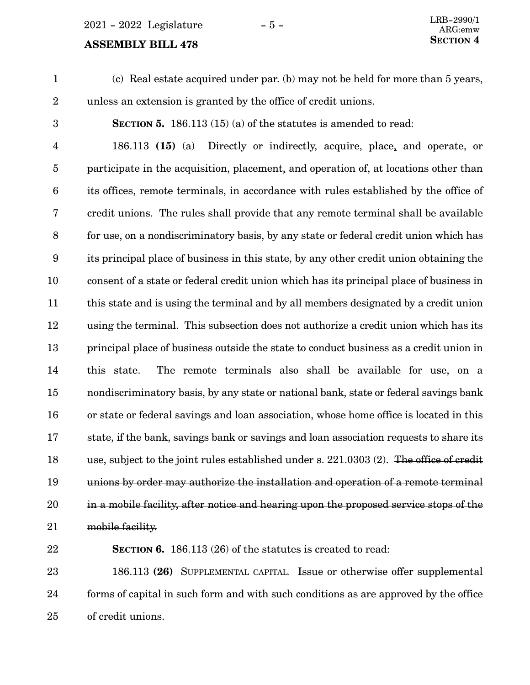$2021 - 2022$  Legislature  $-5 -$ 

# **SECTION** 4

(c) Real estate acquired under par. (b) may not be held for more than 5 years, unless an extension is granted by the office of credit unions. 1 2

3

**SECTION 5.** 186.113 (15) (a) of the statutes is amended to read:

186.113 **(15)** (a) Directly or indirectly, acquire, place, and operate, or participate in the acquisition, placement, and operation of, at locations other than its offices, remote terminals, in accordance with rules established by the office of credit unions. The rules shall provide that any remote terminal shall be available for use, on a nondiscriminatory basis, by any state or federal credit union which has its principal place of business in this state, by any other credit union obtaining the consent of a state or federal credit union which has its principal place of business in this state and is using the terminal and by all members designated by a credit union using the terminal. This subsection does not authorize a credit union which has its principal place of business outside the state to conduct business as a credit union in this state. The remote terminals also shall be available for use, on a nondiscriminatory basis, by any state or national bank, state or federal savings bank or state or federal savings and loan association, whose home office is located in this state, if the bank, savings bank or savings and loan association requests to share its use, subject to the joint rules established under s. 221.0303 (2). The office of credit unions by order may authorize the installation and operation of a remote terminal in a mobile facility, after notice and hearing upon the proposed service stops of the mobile facility. 4 5 6 7 8 9 10 11 12 13 14 15 16 17 18 19 20 21

22

**SECTION 6.** 186.113 (26) of the statutes is created to read:

186.113 **(26)** SUPPLEMENTAL CAPITAL. Issue or otherwise offer supplemental forms of capital in such form and with such conditions as are approved by the office of credit unions. 23 24 25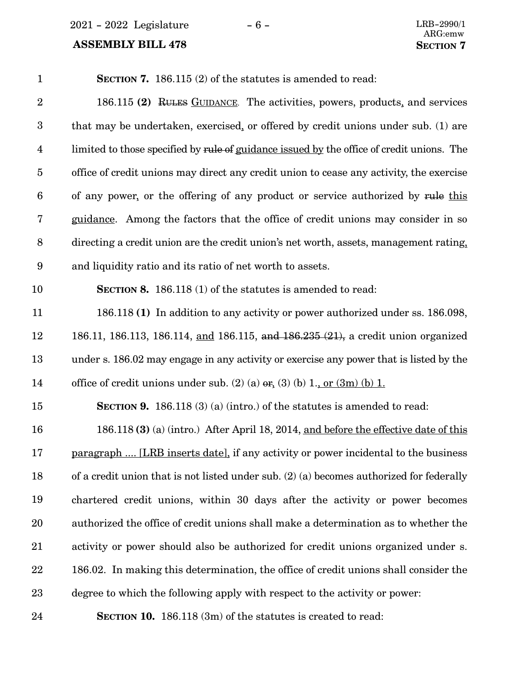$2021 - 2022$  Legislature  $-6 -$  LRB-2990/1

| $\mathbf{1}$            | <b>SECTION 7.</b> 186.115 (2) of the statutes is amended to read:                         |
|-------------------------|-------------------------------------------------------------------------------------------|
| $\boldsymbol{2}$        | 186.115 (2) RULES GUIDANCE. The activities, powers, products, and services                |
| $\boldsymbol{3}$        | that may be undertaken, exercised, or offered by credit unions under sub. (1) are         |
| $\overline{\mathbf{4}}$ | limited to those specified by rule of guidance issued by the office of credit unions. The |
| $\overline{5}$          | office of credit unions may direct any credit union to cease any activity, the exercise   |
| 6                       | of any power, or the offering of any product or service authorized by rule this           |
| 7                       | guidance. Among the factors that the office of credit unions may consider in so           |
| 8                       | directing a credit union are the credit union's net worth, assets, management rating,     |
| 9                       | and liquidity ratio and its ratio of net worth to assets.                                 |
| 10                      | <b>SECTION 8.</b> 186.118 (1) of the statutes is amended to read:                         |
| 11                      | 186.118 (1) In addition to any activity or power authorized under ss. 186.098,            |
| 12                      | 186.11, 186.113, 186.114, and 186.115, and 186.235 (21), a credit union organized         |
| 13                      | under s. 186.02 may engage in any activity or exercise any power that is listed by the    |
| 14                      | office of credit unions under sub. (2) (a) $\sigma$ , (3) (b) 1., or (3m) (b) 1.          |
| 15                      | <b>SECTION 9.</b> 186.118 (3) (a) (intro.) of the statutes is amended to read:            |
| 16                      | 186.118 (3) (a) (intro.) After April 18, 2014, and before the effective date of this      |
| 17                      | paragraph  [LRB inserts date], if any activity or power incidental to the business        |
| 18                      | of a credit union that is not listed under sub. (2) (a) becomes authorized for federally  |
| 19                      | chartered credit unions, within 30 days after the activity or power becomes               |
| 20                      | authorized the office of credit unions shall make a determination as to whether the       |
| 21                      | activity or power should also be authorized for credit unions organized under s.          |
| 22                      | 186.02. In making this determination, the office of credit unions shall consider the      |
| 23                      | degree to which the following apply with respect to the activity or power:                |
| 24                      | <b>SECTION 10.</b> 186.118 (3m) of the statutes is created to read:                       |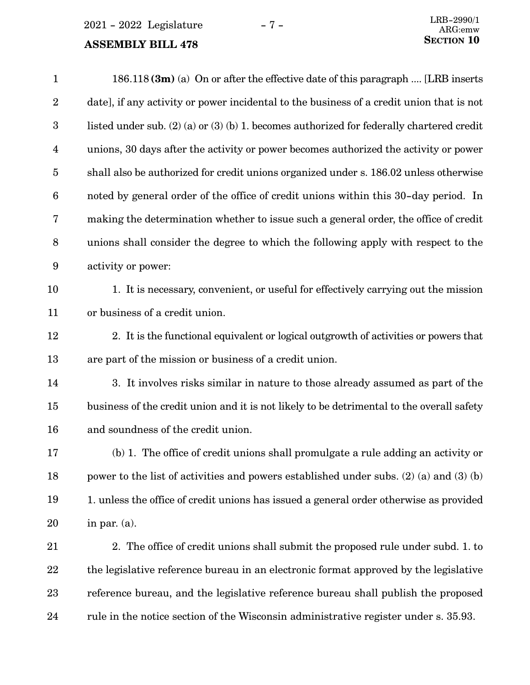$2021 - 2022$  Legislature  $-7 -$ 

## **ASSEMBLY BILL 478**

| $\mathbf{1}$     | $186.118$ (3m) (a) On or after the effective date of this paragraph  [LRB inserts             |
|------------------|-----------------------------------------------------------------------------------------------|
| $\boldsymbol{2}$ | date], if any activity or power incidental to the business of a credit union that is not      |
| $\boldsymbol{3}$ | listed under sub. $(2)$ (a) or $(3)$ (b) 1. becomes authorized for federally chartered credit |
| 4                | unions, 30 days after the activity or power becomes authorized the activity or power          |
| $\overline{5}$   | shall also be authorized for credit unions organized under s. 186.02 unless otherwise         |
| $6\phantom{.}6$  | noted by general order of the office of credit unions within this 30-day period. In           |
| 7                | making the determination whether to issue such a general order, the office of credit          |
| $\boldsymbol{8}$ | unions shall consider the degree to which the following apply with respect to the             |
| 9                | activity or power:                                                                            |
| 10               | 1. It is necessary, convenient, or useful for effectively carrying out the mission            |
| 11               | or business of a credit union.                                                                |
| 12               | 2. It is the functional equivalent or logical outgrowth of activities or powers that          |
| 13               | are part of the mission or business of a credit union.                                        |
| 14               | 3. It involves risks similar in nature to those already assumed as part of the                |
| 15               | business of the credit union and it is not likely to be detrimental to the overall safety     |
| 16               | and soundness of the credit union.                                                            |
| 17               | (b) 1. The office of credit unions shall promulgate a rule adding an activity or              |
| 18               | power to the list of activities and powers established under subs. $(2)$ (a) and $(3)$ (b)    |
| 19               | 1. unless the office of credit unions has issued a general order otherwise as provided        |
| 20               | in par. $(a)$ .                                                                               |
| 21               | 2. The office of credit unions shall submit the proposed rule under subd. 1. to               |
| 22               | the legislative reference bureau in an electronic format approved by the legislative          |
| 23               | reference bureau, and the legislative reference bureau shall publish the proposed             |

rule in the notice section of the Wisconsin administrative register under s. 35.93. 24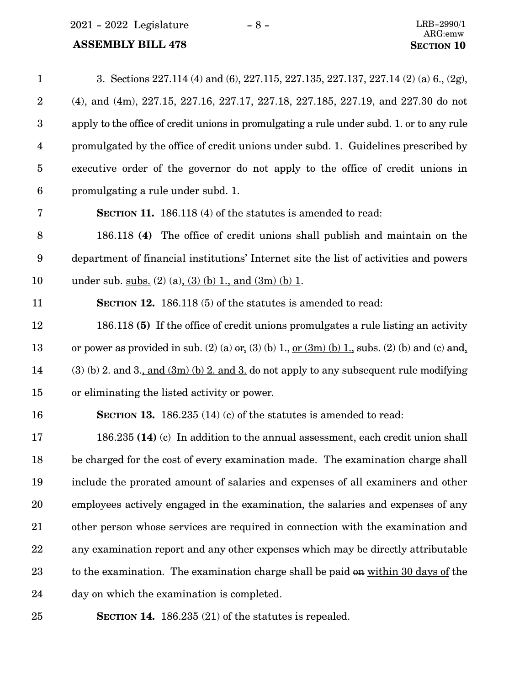$2021 - 2022$  Legislature  $- 8 -$ 

# **ASSEMBLY BILL 478 SECTION** 10

| $\mathbf{1}$     | 3. Sections 227.114 (4) and (6), 227.115, 227.135, 227.137, 227.14 (2) (a) 6, (2g),                           |
|------------------|---------------------------------------------------------------------------------------------------------------|
| $\boldsymbol{2}$ | (4), and (4m), 227.15, 227.16, 227.17, 227.18, 227.185, 227.19, and 227.30 do not                             |
| $\boldsymbol{3}$ | apply to the office of credit unions in promulgating a rule under subd. 1, or to any rule                     |
| $\overline{4}$   | promulgated by the office of credit unions under subd. 1. Guidelines prescribed by                            |
| $\overline{5}$   | executive order of the governor do not apply to the office of credit unions in                                |
| $6\phantom{.}6$  | promulgating a rule under subd. 1.                                                                            |
| 7                | <b>SECTION 11.</b> 186.118 (4) of the statutes is amended to read:                                            |
| 8                | 186.118 (4) The office of credit unions shall publish and maintain on the                                     |
| $9\phantom{.0}$  | department of financial institutions' Internet site the list of activities and powers                         |
| 10               | under sub. subs. (2) (a), (3) (b) 1, and (3m) (b) 1.                                                          |
| 11               | <b>SECTION 12.</b> 186.118 (5) of the statutes is amended to read:                                            |
| 12               | 186.118 (5) If the office of credit unions promulgates a rule listing an activity                             |
| 13               | or power as provided in sub. (2) (a) $er_{\lambda}(3)$ (b) 1, <u>or (3m) (b) 1,</u> subs. (2) (b) and (c) and |
| 14               | $(3)$ (b) 2. and 3., and $(3m)$ (b) 2. and 3. do not apply to any subsequent rule modifying                   |
| 15               | or eliminating the listed activity or power.                                                                  |
| 16               | <b>SECTION 13.</b> 186.235 (14) (c) of the statutes is amended to read:                                       |
| 17               | 186.235 (14) (c) In addition to the annual assessment, each credit union shall                                |
| 18               | be charged for the cost of every examination made. The examination charge shall                               |
| 19               | include the prorated amount of salaries and expenses of all examiners and other                               |
| 20               | employees actively engaged in the examination, the salaries and expenses of any                               |
| 21               | other person whose services are required in connection with the examination and                               |
| 22               | any examination report and any other expenses which may be directly attributable                              |
| 23               | to the examination. The examination charge shall be paid on within 30 days of the                             |
| 24               | day on which the examination is completed.                                                                    |
|                  |                                                                                                               |

25

**SECTION 14.** 186.235 (21) of the statutes is repealed.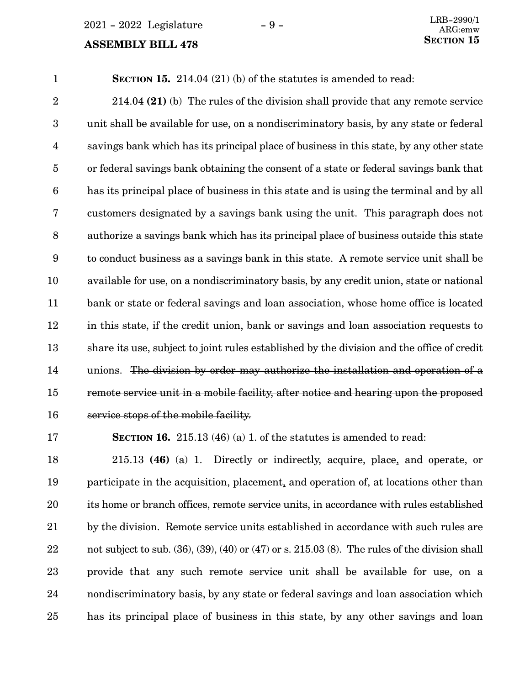# **SECTION** 15

**SECTION 15.** 214.04 (21) (b) of the statutes is amended to read: 1

214.04 **(21)** (b) The rules of the division shall provide that any remote service unit shall be available for use, on a nondiscriminatory basis, by any state or federal savings bank which has its principal place of business in this state, by any other state or federal savings bank obtaining the consent of a state or federal savings bank that has its principal place of business in this state and is using the terminal and by all customers designated by a savings bank using the unit. This paragraph does not authorize a savings bank which has its principal place of business outside this state to conduct business as a savings bank in this state. A remote service unit shall be available for use, on a nondiscriminatory basis, by any credit union, state or national bank or state or federal savings and loan association, whose home office is located in this state, if the credit union, bank or savings and loan association requests to share its use, subject to joint rules established by the division and the office of credit unions. The division by order may authorize the installation and operation of a remote service unit in a mobile facility, after notice and hearing upon the proposed service stops of the mobile facility. 2 3 4 5 6 7 8 9 10 11 12 13 14 15 16

17

**SECTION 16.** 215.13 (46) (a) 1. of the statutes is amended to read:

215.13 **(46)** (a) 1. Directly or indirectly, acquire, place, and operate, or participate in the acquisition, placement, and operation of, at locations other than its home or branch offices, remote service units, in accordance with rules established by the division. Remote service units established in accordance with such rules are not subject to sub.  $(36)$ ,  $(39)$ ,  $(40)$  or  $(47)$  or s.  $215.03$   $(8)$ . The rules of the division shall provide that any such remote service unit shall be available for use, on a nondiscriminatory basis, by any state or federal savings and loan association which has its principal place of business in this state, by any other savings and loan 18 19 20 21 22 23 24 25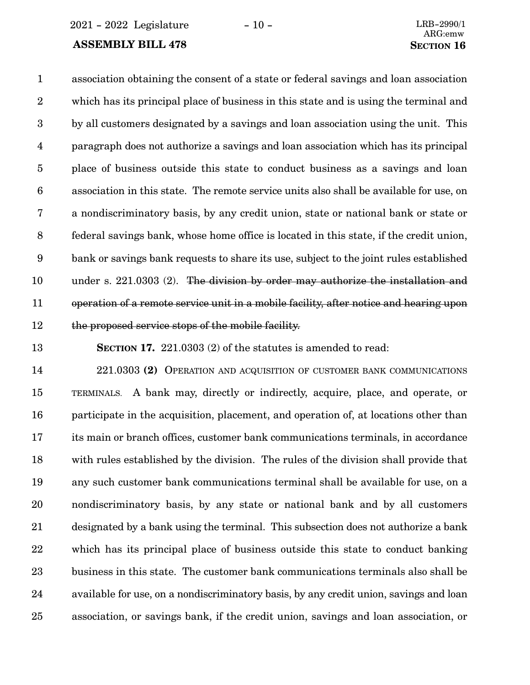2021 - 2022 Legislature - 10 - LRB-2990/1

#### **ASSEMBLY BILL 478 SECTION** 16

association obtaining the consent of a state or federal savings and loan association which has its principal place of business in this state and is using the terminal and by all customers designated by a savings and loan association using the unit. This paragraph does not authorize a savings and loan association which has its principal place of business outside this state to conduct business as a savings and loan association in this state. The remote service units also shall be available for use, on a nondiscriminatory basis, by any credit union, state or national bank or state or federal savings bank, whose home office is located in this state, if the credit union, bank or savings bank requests to share its use, subject to the joint rules established under s. 221.0303 (2). The division by order may authorize the installation and operation of a remote service unit in a mobile facility, after notice and hearing upon the proposed service stops of the mobile facility. 1 2 3 4 5 6 7 8 9 10 11 12

13

**SECTION 17.** 221.0303 (2) of the statutes is amended to read:

221.0303 **(2)** OPERATION AND ACQUISITION OF CUSTOMER BANK COMMUNICATIONS TERMINALS. A bank may, directly or indirectly, acquire, place, and operate, or participate in the acquisition, placement, and operation of, at locations other than its main or branch offices, customer bank communications terminals, in accordance with rules established by the division. The rules of the division shall provide that any such customer bank communications terminal shall be available for use, on a nondiscriminatory basis, by any state or national bank and by all customers designated by a bank using the terminal. This subsection does not authorize a bank which has its principal place of business outside this state to conduct banking business in this state. The customer bank communications terminals also shall be available for use, on a nondiscriminatory basis, by any credit union, savings and loan association, or savings bank, if the credit union, savings and loan association, or 14 15 16 17 18 19 20 21 22 23 24 25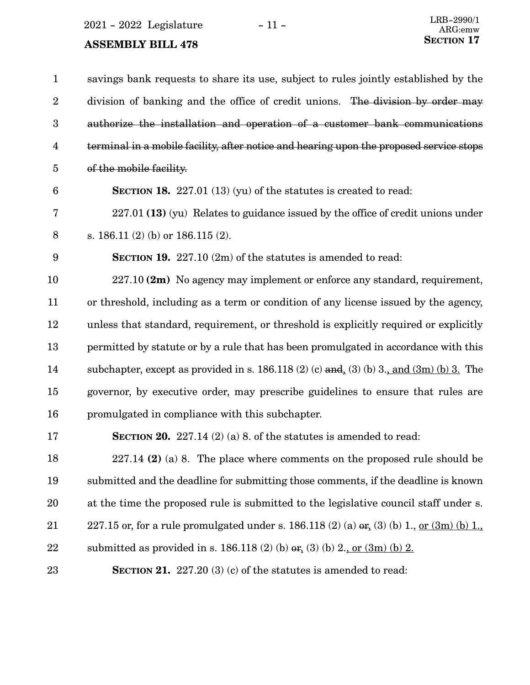2021 - 2022 Legislature - 11 -

| $\mathbf{1}$     | savings bank requests to share its use, subject to rules jointly established by the                         |
|------------------|-------------------------------------------------------------------------------------------------------------|
| $\boldsymbol{2}$ | division of banking and the office of credit unions. The division by order may                              |
| $\boldsymbol{3}$ | authorize the installation and operation of a customer bank communications                                  |
| $\overline{4}$   | terminal in a mobile facility, after notice and hearing upon the proposed service stops                     |
| $\overline{5}$   | of the mobile facility.                                                                                     |
| $6\phantom{1}6$  | <b>SECTION 18.</b> 227.01 (13) (yu) of the statures is created to read:                                     |
| 7                | $227.01$ (13) (yu) Relates to guidance issued by the office of credit unions under                          |
| $\,8\,$          | s. $186.11(2)$ (b) or $186.115(2)$ .                                                                        |
| 9                | <b>SECTION 19.</b> 227.10 $(2m)$ of the statutes is amended to read:                                        |
| 10               | 227.10 (2m) No agency may implement or enforce any standard, requirement,                                   |
| 11               | or threshold, including as a term or condition of any license issued by the agency,                         |
| 12               | unless that standard, requirement, or threshold is explicitly required or explicitly                        |
| 13               | permitted by statute or by a rule that has been promulgated in accordance with this                         |
| 14               | subchapter, except as provided in s. 186.118 (2) (c) and (3) (b) 3., and (3m) (b) 3. The                    |
| 15               | governor, by executive order, may prescribe guidelines to ensure that rules are                             |
| 16               | promulgated in compliance with this subchapter.                                                             |
| 17               | <b>SECTION 20.</b> 227.14 (2) (a) 8. of the statutes is amended to read:                                    |
| 18               | $227.14$ (2) (a) 8. The place where comments on the proposed rule should be                                 |
| 19               | submitted and the deadline for submitting those comments, if the deadline is known                          |
| 20               | at the time the proposed rule is submitted to the legislative council staff under s.                        |
| $21\,$           | 227.15 or, for a rule promulgated under s. 186.118 (2) (a) $er_{\epsilon}(3)$ (b) 1, <u>or (3m) (b) 1</u> , |
| 22               | submitted as provided in s. 186.118 (2) (b) $er_{1}(3)$ (b) 2, or $(3m)$ (b) 2.                             |
| 23               | SECTION 21. $227.20(3)(c)$ of the statutes is amended to read:                                              |